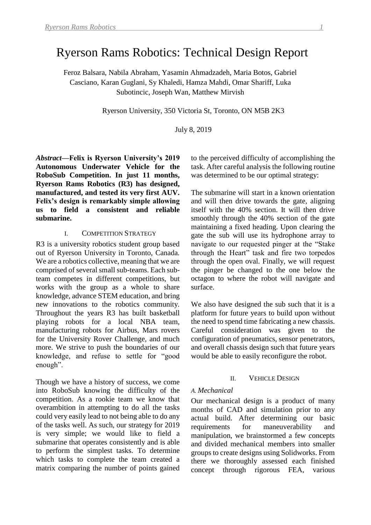# Ryerson Rams Robotics: Technical Design Report

Feroz Balsara, Nabila Abraham, Yasamin Ahmadzadeh, Maria Botos, Gabriel Casciano, Karan Guglani, Sy Khaledi, Hamza Mahdi, Omar Shariff, Luka Subotincic, Joseph Wan, Matthew Mirvish

Ryerson University, 350 Victoria St, Toronto, ON M5B 2K3

July 8, 2019

*Abstract***—Felix is Ryerson University's 2019 Autonomous Underwater Vehicle for the RoboSub Competition. In just 11 months, Ryerson Rams Robotics (R3) has designed, manufactured, and tested its very first AUV. Felix's design is remarkably simple allowing us to field a consistent and reliable submarine.**

#### I. COMPETITION STRATEGY

R3 is a university robotics student group based out of Ryerson University in Toronto, Canada. We are a robotics collective, meaning that we are comprised of several small sub-teams. Each subteam competes in different competitions, but works with the group as a whole to share knowledge, advance STEM education, and bring new innovations to the robotics community. Throughout the years R3 has built basketball playing robots for a local NBA team, manufacturing robots for Airbus, Mars rovers for the University Rover Challenge, and much more. We strive to push the boundaries of our knowledge, and refuse to settle for "good enough".

Though we have a history of success, we come into RoboSub knowing the difficulty of the competition. As a rookie team we know that overambition in attempting to do all the tasks could very easily lead to not being able to do any of the tasks well. As such, our strategy for 2019 is very simple; we would like to field a submarine that operates consistently and is able to perform the simplest tasks. To determine which tasks to complete the team created a matrix comparing the number of points gained

to the perceived difficulty of accomplishing the task. After careful analysis the following routine was determined to be our optimal strategy:

The submarine will start in a known orientation and will then drive towards the gate, aligning itself with the 40% section. It will then drive smoothly through the 40% section of the gate maintaining a fixed heading. Upon clearing the gate the sub will use its hydrophone array to navigate to our requested pinger at the "Stake through the Heart" task and fire two torpedos through the open oval. Finally, we will request the pinger be changed to the one below the octagon to where the robot will navigate and surface.

We also have designed the sub such that it is a platform for future years to build upon without the need to spend time fabricating a new chassis. Careful consideration was given to the configuration of pneumatics, sensor penetrators, and overall chassis design such that future years would be able to easily reconfigure the robot.

#### II. VEHICLE DESIGN

#### *A. Mechanical*

Our mechanical design is a product of many months of CAD and simulation prior to any actual build. After determining our basic requirements for maneuverability and manipulation, we brainstormed a few concepts and divided mechanical members into smaller groups to create designs using Solidworks. From there we thoroughly assessed each finished concept through rigorous FEA, various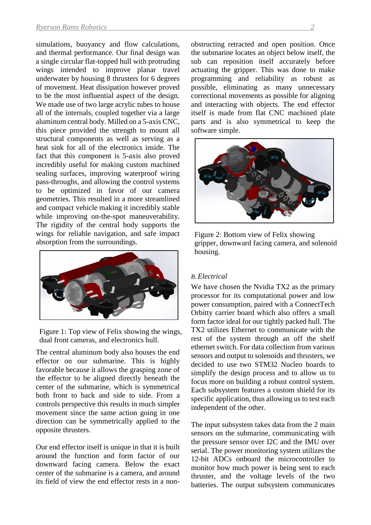simulations, buoyancy and flow calculations, and thermal performance. Our final design was a single circular flat-topped hull with protruding wings intended to improve planar travel underwater by housing 8 thrusters for 6 degrees of movement. Heat dissipation however proved to be the most influential aspect of the design. We made use of two large acrylic tubes to house all of the internals, coupled together via a large aluminum central body. Milled on a 5-axis CNC, this piece provided the strength to mount all structural components as well as serving as a heat sink for all of the electronics inside. The fact that this component is 5-axis also proved incredibly useful for making custom machined sealing surfaces, improving waterproof wiring pass-throughs, and allowing the control systems to be optimized in favor of our camera geometries. This resulted in a more streamlined and compact vehicle making it incredibly stable while improving on-the-spot maneuverability. The rigidity of the central body supports the wings for reliable navigation, and safe impact absorption from the surroundings.



Figure 1: Top view of Felix showing the wings, dual front cameras, and electronics hull.

The central aluminum body also houses the end effector on our submarine. This is highly favorable because it allows the grasping zone of the effector to be aligned directly beneath the center of the submarine, which is symmetrical both front to back and side to side. From a controls perspective this results in much simpler movement since the same action going in one direction can be symmetrically applied to the opposite thrusters.

Our end effector itself is unique in that it is built around the function and form factor of our downward facing camera. Below the exact center of the submarine is a camera, and around its field of view the end effector rests in a nonobstructing retracted and open position. Once the submarine locates an object below itself, the sub can reposition itself accurately before actuating the gripper. This was done to make programming and reliability as robust as possible, eliminating as many unnecessary correctional movements as possible for aligning and interacting with objects. The end effector itself is made from flat CNC machined plate parts and is also symmetrical to keep the software simple.



Figure 2: Bottom view of Felix showing gripper, downward facing camera, and solenoid housing.

#### *B. Electrical*

We have chosen the Nvidia TX2 as the primary processor for its computational power and low power consumption, paired with a ConnectTech Orbitty carrier board which also offers a small form factor ideal for our tightly packed hull. The TX2 utilizes Ethernet to communicate with the rest of the system through an off the shelf ethernet switch. For data collection from various sensors and output to solenoids and thrusters, we decided to use two STM32 Nucleo boards to simplify the design process and to allow us to focus more on building a robust control system. Each subsystem features a custom shield for its specific application, thus allowing us to test each independent of the other.

The input subsystem takes data from the 2 main sensors on the submarine, communicating with the pressure sensor over I2C and the IMU over serial. The power monitoring system utilizes the 12-bit ADCs onboard the microcontroller to monitor how much power is being sent to each thruster, and the voltage levels of the two batteries. The output subsystem communicates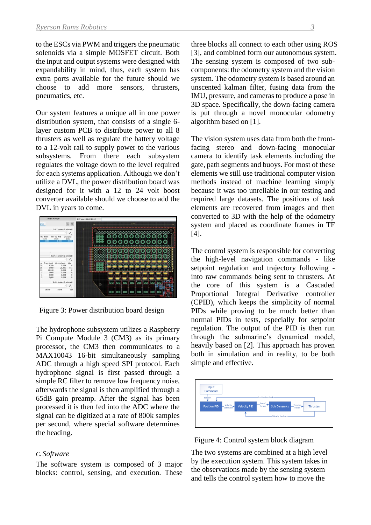to the ESCs via PWM and triggers the pneumatic solenoids via a simple MOSFET circuit. Both the input and output systems were designed with expandability in mind, thus, each system has extra ports available for the future should we choose to add more sensors, thrusters, pneumatics, etc.

Our system features a unique all in one power distribution system, that consists of a single 6 layer custom PCB to distribute power to all 8 thrusters as well as regulate the battery voltage to a 12-volt rail to supply power to the various subsystems. From there each subsystem regulates the voltage down to the level required for each systems application. Although we don't utilize a DVL, the power distribution board was designed for it with a 12 to 24 volt boost converter available should we choose to add the DVL in years to come.



Figure 3: Power distribution board design

The hydrophone subsystem utilizes a Raspberry Pi Compute Module 3 (CM3) as its primary processor, the CM3 then communicates to a MAX10043 16-bit simultaneously sampling ADC through a high speed SPI protocol. Each hydrophone signal is first passed through a simple RC filter to remove low frequency noise, afterwards the signal is then amplified through a 65dB gain preamp. After the signal has been processed it is then fed into the ADC where the signal can be digitized at a rate of 800k samples per second, where special software determines the heading.

## *C. Software*

The software system is composed of 3 major blocks: control, sensing, and execution. These

three blocks all connect to each other using ROS [3], and combined form our autonomous system. The sensing system is composed of two subcomponents: the odometry system and the vision system. The odometry system is based around an unscented kalman filter, fusing data from the IMU, pressure, and cameras to produce a pose in 3D space. Specifically, the down-facing camera is put through a novel monocular odometry algorithm based on [1].

The vision system uses data from both the frontfacing stereo and down-facing monocular camera to identify task elements including the gate, path segments and buoys. For most of these elements we still use traditional computer vision methods instead of machine learning simply because it was too unreliable in our testing and required large datasets. The positions of task elements are recovered from images and then converted to 3D with the help of the odometry system and placed as coordinate frames in TF [4].

The control system is responsible for converting the high-level navigation commands - like setpoint regulation and trajectory following into raw commands being sent to thrusters. At the core of this system is a Cascaded Proportional Integral Derivative controller (CPID), which keeps the simplicity of normal PIDs while proving to be much better than normal PIDs in tests, especially for setpoint regulation. The output of the PID is then run through the submarine's dynamical model, heavily based on [2]. This approach has proven both in simulation and in reality, to be both simple and effective.



Figure 4: Control system block diagram

The two systems are combined at a high level by the execution system. This system takes in the observations made by the sensing system and tells the control system how to move the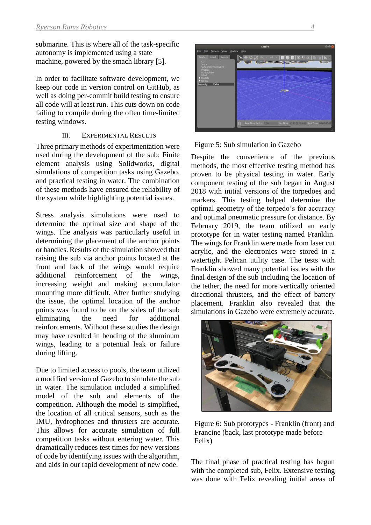submarine. This is where all of the task-specific autonomy is implemented using a state machine, powered by the smach library [5].

In order to facilitate software development, we keep our code in version control on GitHub, as well as doing per-commit build testing to ensure all code will at least run. This cuts down on code failing to compile during the often time-limited testing windows.

#### III. EXPERIMENTAL RESULTS

Three primary methods of experimentation were used during the development of the sub: Finite element analysis using Solidworks, digital simulations of competition tasks using Gazebo, and practical testing in water. The combination of these methods have ensured the reliability of the system while highlighting potential issues.

Stress analysis simulations were used to determine the optimal size and shape of the wings. The analysis was particularly useful in determining the placement of the anchor points or handles. Results of the simulation showed that raising the sub via anchor points located at the front and back of the wings would require additional reinforcement of the wings, increasing weight and making accumulator mounting more difficult. After further studying the issue, the optimal location of the anchor points was found to be on the sides of the sub eliminating the need for additional reinforcements. Without these studies the design may have resulted in bending of the aluminum wings, leading to a potential leak or failure during lifting.

Due to limited access to pools, the team utilized a modified version of Gazebo to simulate the sub in water. The simulation included a simplified model of the sub and elements of the competition. Although the model is simplified, the location of all critical sensors, such as the IMU, hydrophones and thrusters are accurate. This allows for accurate simulation of full competition tasks without entering water. This dramatically reduces test times for new versions of code by identifying issues with the algorithm, and aids in our rapid development of new code.



Figure 5: Sub simulation in Gazebo

Despite the convenience of the previous methods, the most effective testing method has proven to be physical testing in water. Early component testing of the sub began in August 2018 with initial versions of the torpedoes and markers. This testing helped determine the optimal geometry of the torpedo's for accuracy and optimal pneumatic pressure for distance. By February 2019, the team utilized an early prototype for in water testing named Franklin. The wings for Franklin were made from laser cut acrylic, and the electronics were stored in a watertight Pelican utility case. The tests with Franklin showed many potential issues with the final design of the sub including the location of the tether, the need for more vertically oriented directional thrusters, and the effect of battery placement. Franklin also revealed that the simulations in Gazebo were extremely accurate.



Figure 6: Sub prototypes - Franklin (front) and Francine (back, last prototype made before Felix)

The final phase of practical testing has begun with the completed sub, Felix. Extensive testing was done with Felix revealing initial areas of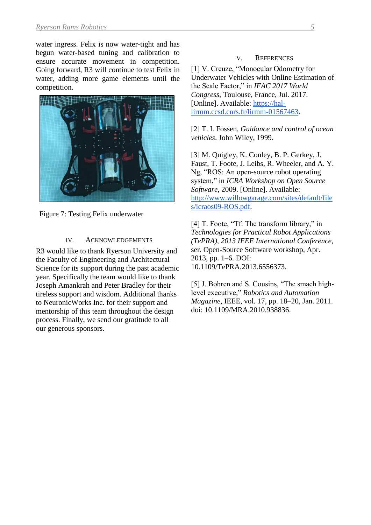water ingress. Felix is now water-tight and has begun water-based tuning and calibration to ensure accurate movement in competition. Going forward, R3 will continue to test Felix in water, adding more game elements until the competition.



Figure 7: Testing Felix underwater

## IV. ACKNOWLEDGEMENTS

R3 would like to thank Ryerson University and the Faculty of Engineering and Architectural Science for its support during the past academic year. Specifically the team would like to thank Joseph Amankrah and Peter Bradley for their tireless support and wisdom. Additional thanks to NeuronicWorks Inc. for their support and mentorship of this team throughout the design process. Finally, we send our gratitude to all our generous sponsors.

## V. REFERENCES

[1] V. Creuze, "Monocular Odometry for Underwater Vehicles with Online Estimation of the Scale Factor," in *IFAC 2017 World Congress*, Toulouse, France, Jul. 2017. [Online]. Available: [https://hal](about:blank)[lirmm.ccsd.cnrs.fr/lirmm-01567463.](about:blank)

[2] T. I. Fossen, *Guidance and control of ocean vehicles*. John Wiley, 1999.

[3] M. Quigley, K. Conley, B. P. Gerkey, J. Faust, T. Foote, J. Leibs, R. Wheeler, and A. Y. Ng, "ROS: An open-source robot operating system," in *ICRA Workshop on Open Source Software*, 2009. [Online]. Available: [http://www.willowgarage.com/sites/default/file](http://www.willowgarage.com/sites/default/files/icraos09-ROS.pdf) [s/icraos09-ROS.pdf.](http://www.willowgarage.com/sites/default/files/icraos09-ROS.pdf)

[4] T. Foote, "Tf: The transform library," in *Technologies for Practical Robot Applications (TePRA), 2013 IEEE International Conference,* ser. Open-Source Software workshop, Apr. 2013, pp. 1–6. DOI: 10.1109/TePRA.2013.6556373.

[5] J. Bohren and S. Cousins, "The smach highlevel executive," *Robotics and Automation Magazine*, IEEE, vol. 17, pp. 18–20, Jan. 2011. doi: 10.1109/MRA.2010.938836.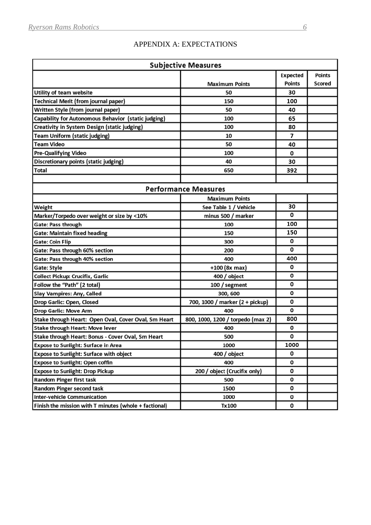# APPENDIX A: EXPECTATIONS

| <b>Subjective Measures</b>                            |                                   |                 |               |  |  |  |  |
|-------------------------------------------------------|-----------------------------------|-----------------|---------------|--|--|--|--|
|                                                       |                                   | <b>Expected</b> | <b>Points</b> |  |  |  |  |
|                                                       | <b>Maximum Points</b>             | <b>Points</b>   | <b>Scored</b> |  |  |  |  |
| Utility of team website                               | 50                                | 30              |               |  |  |  |  |
| <b>Technical Merit (from journal paper)</b>           | 150                               | 100             |               |  |  |  |  |
| Written Style (from journal paper)                    | 50                                | 40              |               |  |  |  |  |
| Capability for Autonomous Behavior (static judging)   | 100                               | 65              |               |  |  |  |  |
| Creativity in System Design (static judging)          | 100                               | 80              |               |  |  |  |  |
| <b>Team Uniform (static judging)</b>                  | 10                                | 7               |               |  |  |  |  |
| <b>Team Video</b>                                     | 50                                | 40              |               |  |  |  |  |
| <b>Pre-Qualifying Video</b>                           | 100                               | 0               |               |  |  |  |  |
| Discretionary points (static judging)                 | 40                                | 30              |               |  |  |  |  |
| <b>Total</b>                                          | 650                               | 392             |               |  |  |  |  |
|                                                       |                                   |                 |               |  |  |  |  |
| <b>Performance Measures</b>                           |                                   |                 |               |  |  |  |  |
|                                                       | <b>Maximum Points</b>             |                 |               |  |  |  |  |
| Weight                                                | See Table 1 / Vehicle             | 30              |               |  |  |  |  |
| Marker/Torpedo over weight or size by <10%            | minus 500 / marker                | 0               |               |  |  |  |  |
| Gate: Pass through                                    | 100                               | 100             |               |  |  |  |  |
| <b>Gate: Maintain fixed heading</b>                   | 150                               | 150             |               |  |  |  |  |
| <b>Gate: Coin Flip</b>                                | 300                               | 0               |               |  |  |  |  |
| Gate: Pass through 60% section                        | 200                               | 0               |               |  |  |  |  |
| Gate: Pass through 40% section                        | 400                               | 400             |               |  |  |  |  |
| <b>Gate: Style</b>                                    | +100 (8x max)                     | 0               |               |  |  |  |  |
| <b>Collect Pickup: Crucifix, Garlic</b>               | 400 / object                      | 0               |               |  |  |  |  |
| Follow the "Path" (2 total)                           | 100 / segment                     | 0               |               |  |  |  |  |
| <b>Slay Vampires: Any, Called</b>                     | 300, 600                          | 0               |               |  |  |  |  |
| Drop Garlic: Open, Closed                             | 700, 1000 / marker (2 + pickup)   | 0               |               |  |  |  |  |
| <b>Drop Garlic: Move Arm</b>                          | 400                               | 0               |               |  |  |  |  |
| Stake through Heart: Open Oval, Cover Oval, Sm Heart  | 800, 1000, 1200 / torpedo (max 2) | 800             |               |  |  |  |  |
| Stake through Heart: Move lever                       | 400                               | 0               |               |  |  |  |  |
| Stake through Heart: Bonus - Cover Oval, Sm Heart     | 500                               | 0               |               |  |  |  |  |
| <b>Expose to Sunlight: Surface in Area</b>            | 1000                              | 1000            |               |  |  |  |  |
| <b>Expose to Sunlight: Surface with object</b>        | 400 / object                      | 0               |               |  |  |  |  |
| <b>Expose to Sunlight: Open coffin</b>                | 400                               | 0               |               |  |  |  |  |
| <b>Expose to Sunlight: Drop Pickup</b>                | 200 / object (Crucifix only)      | 0               |               |  |  |  |  |
| <b>Random Pinger first task</b>                       | 500                               | 0               |               |  |  |  |  |
| <b>Random Pinger second task</b>                      | 1500                              | 0               |               |  |  |  |  |
| <b>Inter-vehicle Communication</b>                    | 1000                              | 0               |               |  |  |  |  |
| Finish the mission with T minutes (whole + factional) | Tx100                             | 0               |               |  |  |  |  |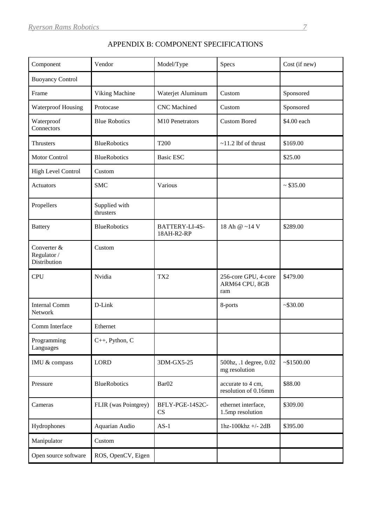| Component                                  | Vendor                     | Model/Type                   | Specs                                         | Cost (if new) |
|--------------------------------------------|----------------------------|------------------------------|-----------------------------------------------|---------------|
| <b>Buoyancy Control</b>                    |                            |                              |                                               |               |
| Frame                                      | Viking Machine             | Waterjet Aluminum            | Custom                                        | Sponsored     |
| <b>Waterproof Housing</b>                  | Protocase                  | <b>CNC</b> Machined          | Custom                                        | Sponsored     |
| Waterproof<br>Connectors                   | <b>Blue Robotics</b>       | M10 Penetrators              | <b>Custom Bored</b>                           | \$4.00 each   |
| <b>Thrusters</b>                           | <b>BlueRobotics</b>        | T200                         | $~11.2$ lbf of thrust                         | \$169.00      |
| Motor Control                              | <b>BlueRobotics</b>        | <b>Basic ESC</b>             |                                               | \$25.00       |
| High Level Control                         | Custom                     |                              |                                               |               |
| Actuators                                  | <b>SMC</b>                 | Various                      |                                               | ~535.00       |
| Propellers                                 | Supplied with<br>thrusters |                              |                                               |               |
| <b>Battery</b>                             | <b>BlueRobotics</b>        | BATTERY-LI-4S-<br>18AH-R2-RP | 18 Ah @ ~14 V                                 | \$289.00      |
| Converter &<br>Regulator /<br>Distribution | Custom                     |                              |                                               |               |
| <b>CPU</b>                                 | Nvidia                     | TX2                          | 256-core GPU, 4-core<br>ARM64 CPU, 8GB<br>ram | \$479.00      |
| <b>Internal Comm</b><br>Network            | D-Link                     |                              | 8-ports                                       | ~530.00       |
| Comm Interface                             | Ethernet                   |                              |                                               |               |
| Programming<br>Languages                   | C++, Python, C             |                              |                                               |               |
| IMU & compass                              | <b>LORD</b>                | 3DM-GX5-25                   | 500hz, .1 degree, 0.02<br>mg resolution       | ~1500.00      |
| Pressure                                   | <b>BlueRobotics</b>        | Bar <sub>02</sub>            | accurate to 4 cm,<br>resolution of 0.16mm     | \$88.00       |
| Cameras                                    | FLIR (was Pointgrey)       | BFLY-PGE-14S2C-<br>CS        | ethernet interface,<br>1.5mp resolution       | \$309.00      |
| Hydrophones                                | Aquarian Audio             | $AS-1$                       | 1hz-100 $khz$ +/-2dB                          | \$395.00      |
| Manipulator                                | Custom                     |                              |                                               |               |
| Open source software                       | ROS, OpenCV, Eigen         |                              |                                               |               |

# APPENDIX B: COMPONENT SPECIFICATIONS